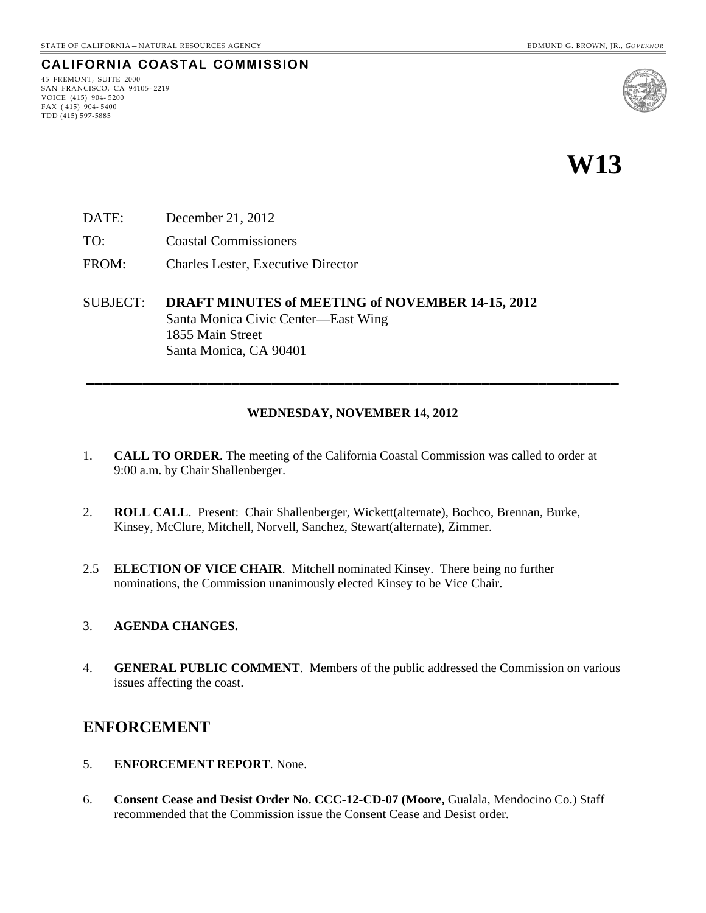### **CALIFORNIA COASTAL COMMISSION**

45 FREMONT, SUITE 2000 SAN FRANCISCO, CA 94105- 2219 VOICE (415) 904- 5200 FAX ( 415) 904- 5400 TDD (415) 597-5885



**W13** 

- DATE: December 21, 2012
- TO: Coastal Commissioners
- FROM: Charles Lester, Executive Director

SUBJECT: **DRAFT MINUTES of MEETING of NOVEMBER 14-15, 2012** Santa Monica Civic Center—East Wing 1855 Main Street Santa Monica, CA 90401

#### **WEDNESDAY, NOVEMBER 14, 2012**

**\_\_\_\_\_\_\_\_\_\_\_\_\_\_\_\_\_\_\_\_\_\_\_\_\_\_\_\_\_\_\_\_\_\_\_\_\_\_\_\_\_\_\_\_\_\_\_\_\_\_\_\_\_\_\_\_\_\_\_\_\_\_\_\_\_\_** 

- 1. **CALL TO ORDER**. The meeting of the California Coastal Commission was called to order at 9:00 a.m. by Chair Shallenberger.
- 2. **ROLL CALL**. Present: Chair Shallenberger, Wickett(alternate), Bochco, Brennan, Burke, Kinsey, McClure, Mitchell, Norvell, Sanchez, Stewart(alternate), Zimmer.
- 2.5 **ELECTION OF VICE CHAIR**. Mitchell nominated Kinsey. There being no further nominations, the Commission unanimously elected Kinsey to be Vice Chair.

#### 3. **AGENDA CHANGES.**

4. **GENERAL PUBLIC COMMENT**. Members of the public addressed the Commission on various issues affecting the coast.

### **ENFORCEMENT**

- 5. **ENFORCEMENT REPORT**. None.
- 6. **Consent Cease and Desist Order No. CCC-12-CD-07 (Moore,** Gualala, Mendocino Co.) Staff recommended that the Commission issue the Consent Cease and Desist order.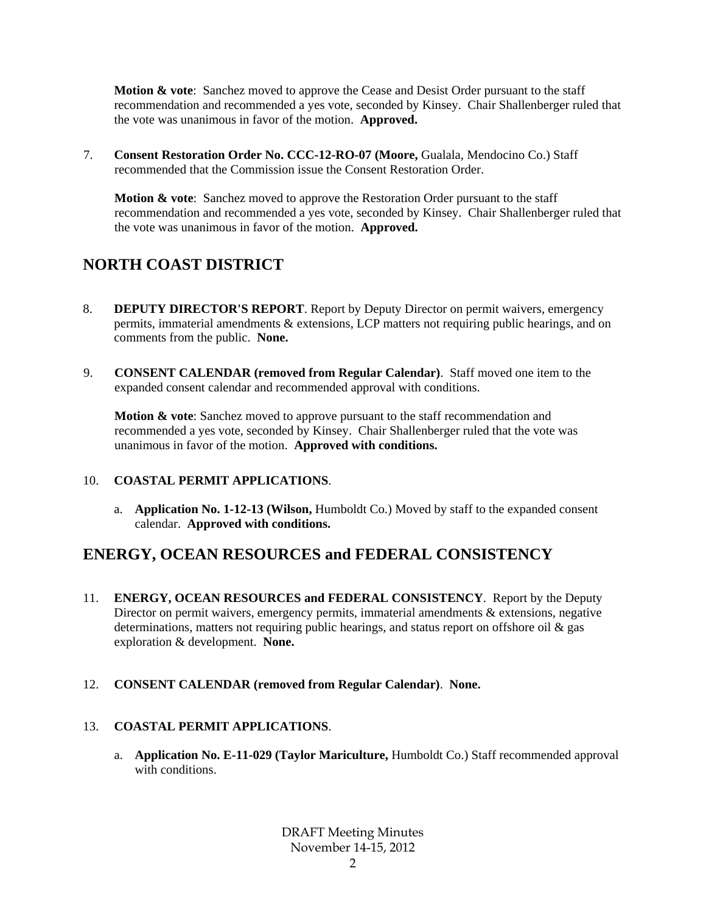**Motion & vote:** Sanchez moved to approve the Cease and Desist Order pursuant to the staff recommendation and recommended a yes vote, seconded by Kinsey. Chair Shallenberger ruled that the vote was unanimous in favor of the motion. **Approved.**

7. **Consent Restoration Order No. CCC-12-RO-07 (Moore, Gualala, Mendocino Co.) Staff** recommended that the Commission issue the Consent Restoration Order.

**Motion & vote:** Sanchez moved to approve the Restoration Order pursuant to the staff recommendation and recommended a yes vote, seconded by Kinsey. Chair Shallenberger ruled that the vote was unanimous in favor of the motion. **Approved.** 

# **NORTH COAST DISTRICT**

- 8. **DEPUTY DIRECTOR'S REPORT**. Report by Deputy Director on permit waivers, emergency permits, immaterial amendments & extensions, LCP matters not requiring public hearings, and on comments from the public. **None.**
- 9. **CONSENT CALENDAR (removed from Regular Calendar)**. Staff moved one item to the expanded consent calendar and recommended approval with conditions.

**Motion & vote**: Sanchez moved to approve pursuant to the staff recommendation and recommended a yes vote, seconded by Kinsey. Chair Shallenberger ruled that the vote was unanimous in favor of the motion. **Approved with conditions.** 

### 10. **COASTAL PERMIT APPLICATIONS**.

a. **Application No. 1-12-13 (Wilson,** Humboldt Co.) Moved by staff to the expanded consent calendar. **Approved with conditions.**

## **ENERGY, OCEAN RESOURCES and FEDERAL CONSISTENCY**

- 11. **ENERGY, OCEAN RESOURCES and FEDERAL CONSISTENCY**. Report by the Deputy Director on permit waivers, emergency permits, immaterial amendments & extensions, negative determinations, matters not requiring public hearings, and status report on offshore oil & gas exploration & development. **None.**
- 12. **CONSENT CALENDAR (removed from Regular Calendar)**. **None.**

### 13. **COASTAL PERMIT APPLICATIONS**.

a. **Application No. E-11-029 (Taylor Mariculture,** Humboldt Co.) Staff recommended approval with conditions.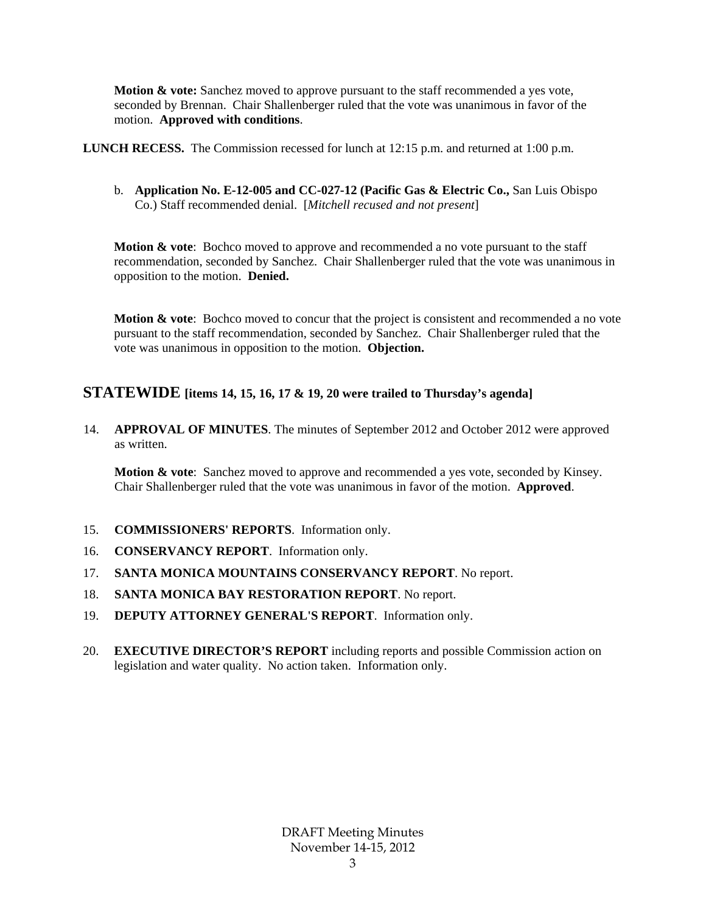**Motion & vote:** Sanchez moved to approve pursuant to the staff recommended a yes vote, seconded by Brennan. Chair Shallenberger ruled that the vote was unanimous in favor of the motion. **Approved with conditions**.

**LUNCH RECESS.** The Commission recessed for lunch at 12:15 p.m. and returned at 1:00 p.m.

b. **Application No. E-12-005 and CC-027-12 (Pacific Gas & Electric Co.,** San Luis Obispo Co.) Staff recommended denial. [*Mitchell recused and not present*]

**Motion & vote:** Bochco moved to approve and recommended a no vote pursuant to the staff recommendation, seconded by Sanchez. Chair Shallenberger ruled that the vote was unanimous in opposition to the motion. **Denied.** 

**Motion & vote:** Bochco moved to concur that the project is consistent and recommended a no vote pursuant to the staff recommendation, seconded by Sanchez. Chair Shallenberger ruled that the vote was unanimous in opposition to the motion. **Objection.**

### **STATEWIDE [items 14, 15, 16, 17 & 19, 20 were trailed to Thursday's agenda]**

14. **APPROVAL OF MINUTES**. The minutes of September 2012 and October 2012 were approved as written.

**Motion & vote**: Sanchez moved to approve and recommended a yes vote, seconded by Kinsey. Chair Shallenberger ruled that the vote was unanimous in favor of the motion. **Approved**.

- 15. **COMMISSIONERS' REPORTS**. Information only.
- 16. **CONSERVANCY REPORT**. Information only.
- 17. **SANTA MONICA MOUNTAINS CONSERVANCY REPORT**. No report.
- 18. **SANTA MONICA BAY RESTORATION REPORT**. No report.
- 19. **DEPUTY ATTORNEY GENERAL'S REPORT**. Information only.
- 20. **EXECUTIVE DIRECTOR'S REPORT** including reports and possible Commission action on legislation and water quality. No action taken. Information only.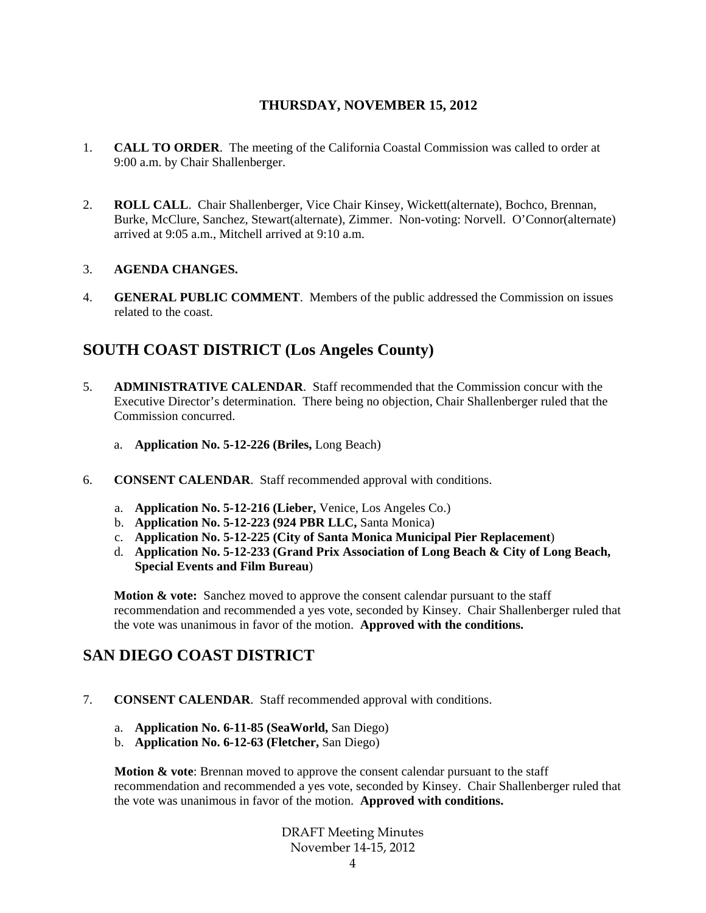### **THURSDAY, NOVEMBER 15, 2012**

- 1. **CALL TO ORDER**. The meeting of the California Coastal Commission was called to order at 9:00 a.m. by Chair Shallenberger.
- 2. **ROLL CALL**. Chair Shallenberger, Vice Chair Kinsey, Wickett(alternate), Bochco, Brennan, Burke, McClure, Sanchez, Stewart(alternate), Zimmer. Non-voting: Norvell. O'Connor(alternate) arrived at 9:05 a.m., Mitchell arrived at 9:10 a.m.

### 3. **AGENDA CHANGES.**

4. **GENERAL PUBLIC COMMENT**. Members of the public addressed the Commission on issues related to the coast.

## **SOUTH COAST DISTRICT (Los Angeles County)**

- 5. **ADMINISTRATIVE CALENDAR**. Staff recommended that the Commission concur with the Executive Director's determination. There being no objection, Chair Shallenberger ruled that the Commission concurred.
	- a. **Application No. 5-12-226 (Briles,** Long Beach)
- 6. **CONSENT CALENDAR**. Staff recommended approval with conditions.
	- a. **Application No. 5-12-216 (Lieber,** Venice, Los Angeles Co.)
	- b. **Application No. 5-12-223 (924 PBR LLC,** Santa Monica)
	- c. **Application No. 5-12-225 (City of Santa Monica Municipal Pier Replacement**)
	- d. **Application No. 5-12-233 (Grand Prix Association of Long Beach & City of Long Beach, Special Events and Film Bureau**)

**Motion & vote:** Sanchez moved to approve the consent calendar pursuant to the staff recommendation and recommended a yes vote, seconded by Kinsey. Chair Shallenberger ruled that the vote was unanimous in favor of the motion. **Approved with the conditions.**

## **SAN DIEGO COAST DISTRICT**

- 7. **CONSENT CALENDAR**. Staff recommended approval with conditions.
	- a. **Application No. 6-11-85 (SeaWorld,** San Diego)
	- b. **Application No. 6-12-63 (Fletcher,** San Diego)

**Motion & vote**: Brennan moved to approve the consent calendar pursuant to the staff recommendation and recommended a yes vote, seconded by Kinsey. Chair Shallenberger ruled that the vote was unanimous in favor of the motion. **Approved with conditions.**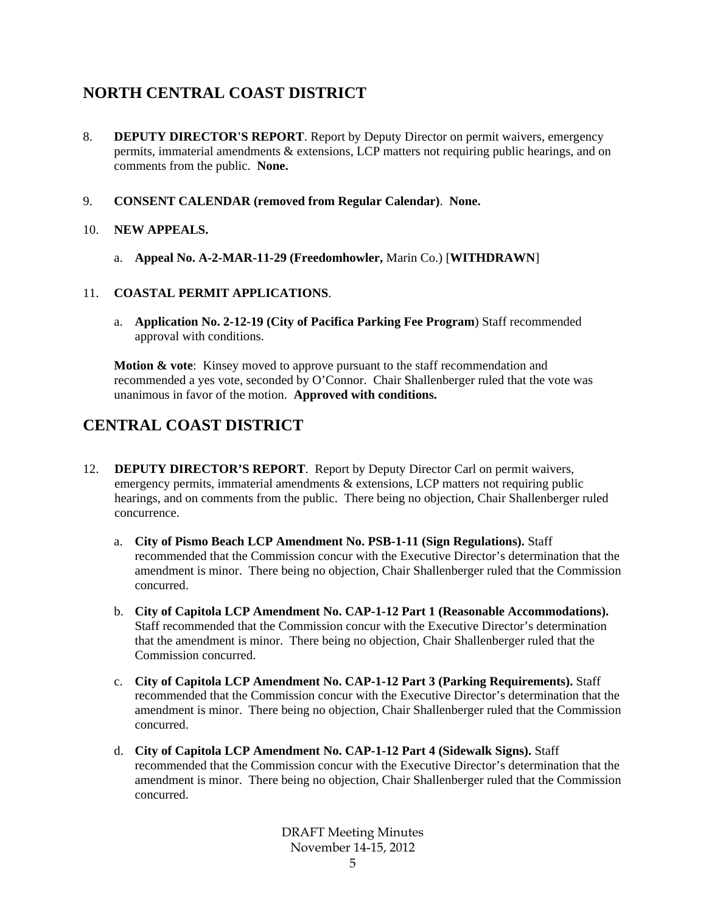# **NORTH CENTRAL COAST DISTRICT**

- 8. **DEPUTY DIRECTOR'S REPORT**. Report by Deputy Director on permit waivers, emergency permits, immaterial amendments & extensions, LCP matters not requiring public hearings, and on comments from the public. **None.**
- 9. **CONSENT CALENDAR (removed from Regular Calendar)**. **None.**

### 10. **NEW APPEALS.**

a. **Appeal No. A-2-MAR-11-29 (Freedomhowler,** Marin Co.) [**WITHDRAWN**]

### 11. **COASTAL PERMIT APPLICATIONS**.

a. **Application No. 2-12-19 (City of Pacifica Parking Fee Program**) Staff recommended approval with conditions.

**Motion & vote**: Kinsey moved to approve pursuant to the staff recommendation and recommended a yes vote, seconded by O'Connor. Chair Shallenberger ruled that the vote was unanimous in favor of the motion. **Approved with conditions.**

## **CENTRAL COAST DISTRICT**

- 12. **DEPUTY DIRECTOR'S REPORT**. Report by Deputy Director Carl on permit waivers, emergency permits, immaterial amendments & extensions, LCP matters not requiring public hearings, and on comments from the public. There being no objection, Chair Shallenberger ruled concurrence.
	- a. **City of Pismo Beach LCP Amendment No. PSB-1-11 (Sign Regulations).** Staff recommended that the Commission concur with the Executive Director's determination that the amendment is minor. There being no objection, Chair Shallenberger ruled that the Commission concurred.
	- b. **City of Capitola LCP Amendment No. CAP-1-12 Part 1 (Reasonable Accommodations).**  Staff recommended that the Commission concur with the Executive Director's determination that the amendment is minor. There being no objection, Chair Shallenberger ruled that the Commission concurred.
	- c. **City of Capitola LCP Amendment No. CAP-1-12 Part 3 (Parking Requirements).** Staff recommended that the Commission concur with the Executive Director's determination that the amendment is minor. There being no objection, Chair Shallenberger ruled that the Commission concurred.
	- d. **City of Capitola LCP Amendment No. CAP-1-12 Part 4 (Sidewalk Signs).** Staff recommended that the Commission concur with the Executive Director's determination that the amendment is minor. There being no objection, Chair Shallenberger ruled that the Commission concurred.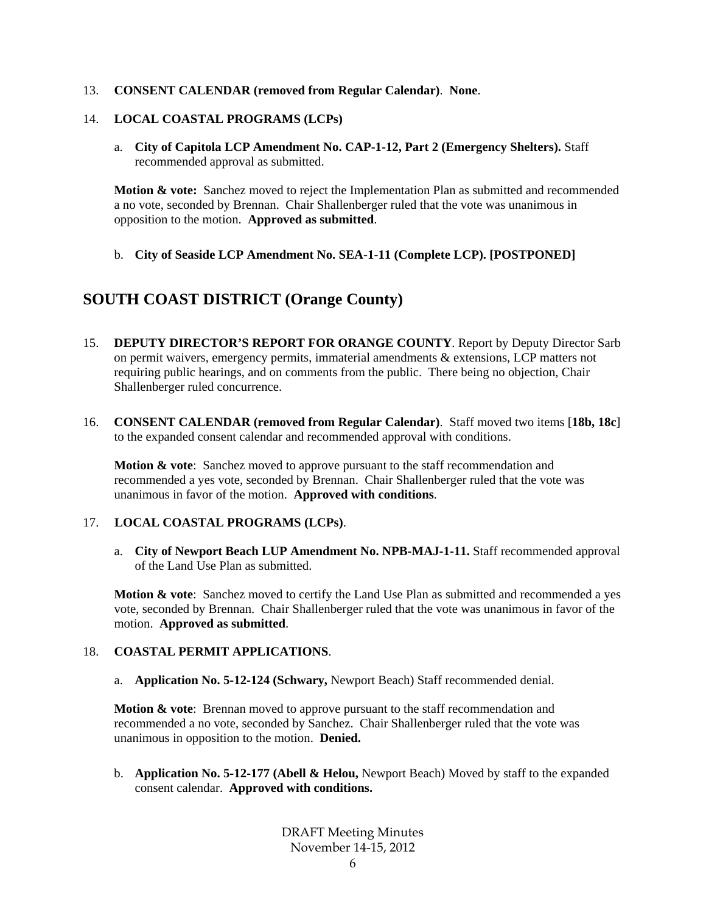### 13. **CONSENT CALENDAR (removed from Regular Calendar)**. **None**.

### 14. **LOCAL COASTAL PROGRAMS (LCPs)**

a. **City of Capitola LCP Amendment No. CAP-1-12, Part 2 (Emergency Shelters).** Staff recommended approval as submitted.

**Motion & vote:** Sanchez moved to reject the Implementation Plan as submitted and recommended a no vote, seconded by Brennan. Chair Shallenberger ruled that the vote was unanimous in opposition to the motion. **Approved as submitted**.

b. **City of Seaside LCP Amendment No. SEA-1-11 (Complete LCP). [POSTPONED]**

### **SOUTH COAST DISTRICT (Orange County)**

- 15. **DEPUTY DIRECTOR'S REPORT FOR ORANGE COUNTY**. Report by Deputy Director Sarb on permit waivers, emergency permits, immaterial amendments & extensions, LCP matters not requiring public hearings, and on comments from the public. There being no objection, Chair Shallenberger ruled concurrence.
- 16. **CONSENT CALENDAR (removed from Regular Calendar)**. Staff moved two items [**18b, 18c**] to the expanded consent calendar and recommended approval with conditions.

**Motion & vote:** Sanchez moved to approve pursuant to the staff recommendation and recommended a yes vote, seconded by Brennan. Chair Shallenberger ruled that the vote was unanimous in favor of the motion. **Approved with conditions**.

### 17. **LOCAL COASTAL PROGRAMS (LCPs)**.

a. **City of Newport Beach LUP Amendment No. NPB-MAJ-1-11.** Staff recommended approval of the Land Use Plan as submitted.

**Motion & vote**: Sanchez moved to certify the Land Use Plan as submitted and recommended a yes vote, seconded by Brennan. Chair Shallenberger ruled that the vote was unanimous in favor of the motion. **Approved as submitted**.

#### 18. **COASTAL PERMIT APPLICATIONS**.

a. **Application No. 5-12-124 (Schwary,** Newport Beach) Staff recommended denial.

**Motion & vote:** Brennan moved to approve pursuant to the staff recommendation and recommended a no vote, seconded by Sanchez. Chair Shallenberger ruled that the vote was unanimous in opposition to the motion. **Denied.**

b. **Application No. 5-12-177 (Abell & Helou,** Newport Beach) Moved by staff to the expanded consent calendar. **Approved with conditions.**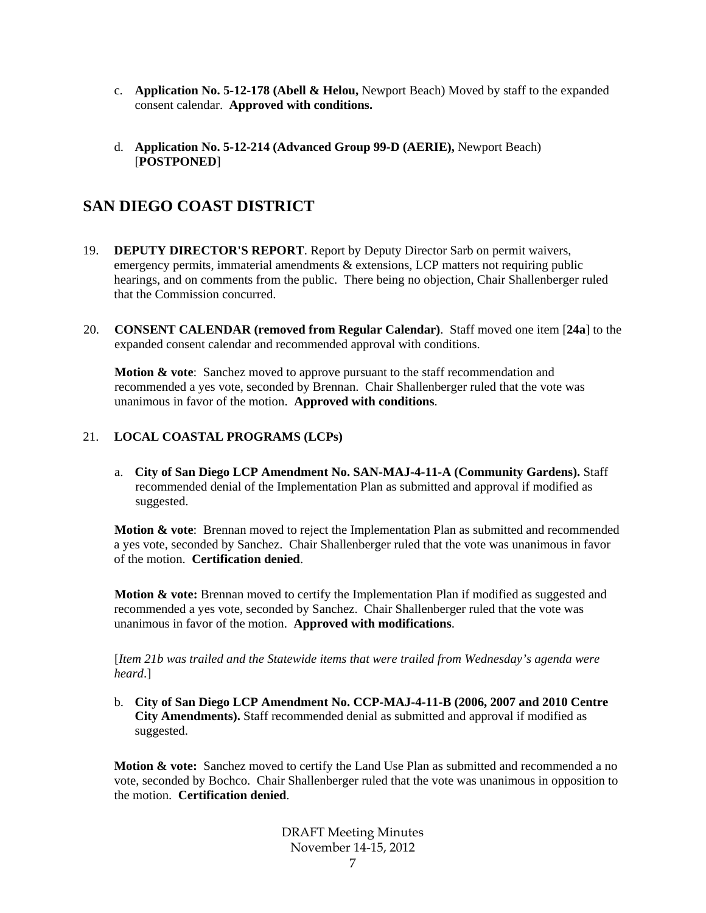- c. **Application No. 5-12-178 (Abell & Helou,** Newport Beach) Moved by staff to the expanded consent calendar. **Approved with conditions.**
- d. **Application No. 5-12-214 (Advanced Group 99-D (AERIE),** Newport Beach) [**POSTPONED**]

## **SAN DIEGO COAST DISTRICT**

- 19. **DEPUTY DIRECTOR'S REPORT**. Report by Deputy Director Sarb on permit waivers, emergency permits, immaterial amendments & extensions, LCP matters not requiring public hearings, and on comments from the public. There being no objection, Chair Shallenberger ruled that the Commission concurred.
- 20. **CONSENT CALENDAR (removed from Regular Calendar)**. Staff moved one item [**24a**] to the expanded consent calendar and recommended approval with conditions.

**Motion & vote:** Sanchez moved to approve pursuant to the staff recommendation and recommended a yes vote, seconded by Brennan. Chair Shallenberger ruled that the vote was unanimous in favor of the motion. **Approved with conditions**.

### 21. **LOCAL COASTAL PROGRAMS (LCPs)**

a. **City of San Diego LCP Amendment No. SAN-MAJ-4-11-A (Community Gardens).** Staff recommended denial of the Implementation Plan as submitted and approval if modified as suggested.

**Motion & vote**: Brennan moved to reject the Implementation Plan as submitted and recommended a yes vote, seconded by Sanchez. Chair Shallenberger ruled that the vote was unanimous in favor of the motion. **Certification denied**.

**Motion & vote:** Brennan moved to certify the Implementation Plan if modified as suggested and recommended a yes vote, seconded by Sanchez. Chair Shallenberger ruled that the vote was unanimous in favor of the motion. **Approved with modifications**.

[*Item 21b was trailed and the Statewide items that were trailed from Wednesday's agenda were heard*.]

b. **City of San Diego LCP Amendment No. CCP-MAJ-4-11-B (2006, 2007 and 2010 Centre City Amendments).** Staff recommended denial as submitted and approval if modified as suggested.

Motion & vote: Sanchez moved to certify the Land Use Plan as submitted and recommended a no vote, seconded by Bochco. Chair Shallenberger ruled that the vote was unanimous in opposition to the motion. **Certification denied**.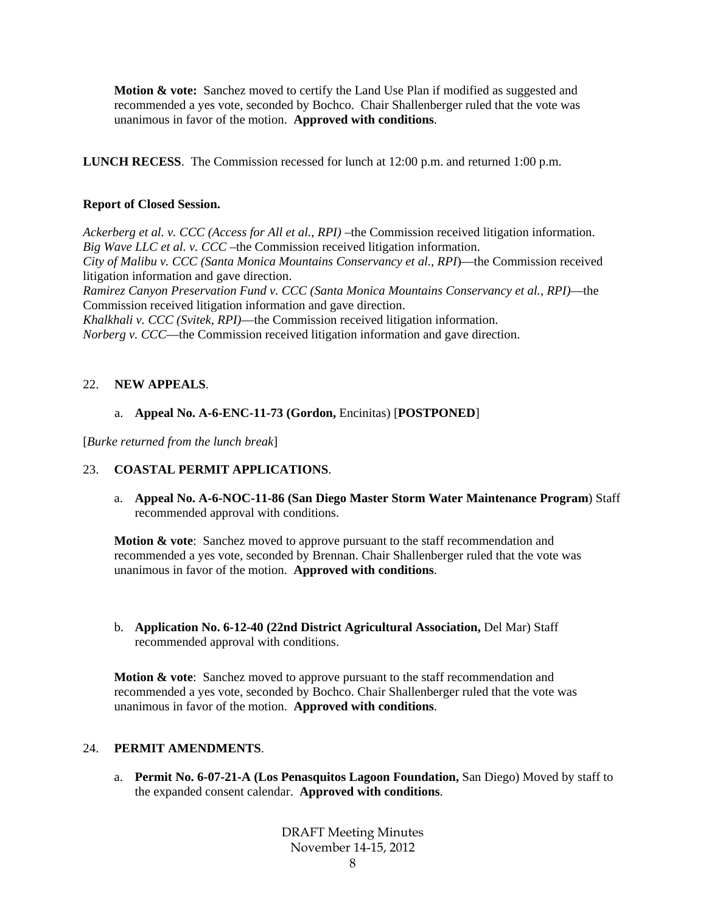**Motion & vote:** Sanchez moved to certify the Land Use Plan if modified as suggested and recommended a yes vote, seconded by Bochco. Chair Shallenberger ruled that the vote was unanimous in favor of the motion. **Approved with conditions**.

**LUNCH RECESS**. The Commission recessed for lunch at 12:00 p.m. and returned 1:00 p.m.

### **Report of Closed Session.**

*Ackerberg et al. v. CCC (Access for All et al., RPI)* –the Commission received litigation information. *Big Wave LLC et al. v. CCC* –the Commission received litigation information.

*City of Malibu v. CCC (Santa Monica Mountains Conservancy et al., RPI*)—the Commission received litigation information and gave direction.

*Ramirez Canyon Preservation Fund v. CCC (Santa Monica Mountains Conservancy et al., RPI)*—the Commission received litigation information and gave direction.

*Khalkhali v. CCC (Svitek, RPI)*—the Commission received litigation information.

*Norberg v. CCC*—the Commission received litigation information and gave direction.

### 22. **NEW APPEALS**.

### a. **Appeal No. A-6-ENC-11-73 (Gordon,** Encinitas) [**POSTPONED**]

[*Burke returned from the lunch break*]

### 23. **COASTAL PERMIT APPLICATIONS**.

a. **Appeal No. A-6-NOC-11-86 (San Diego Master Storm Water Maintenance Program**) Staff recommended approval with conditions.

**Motion & vote**: Sanchez moved to approve pursuant to the staff recommendation and recommended a yes vote, seconded by Brennan. Chair Shallenberger ruled that the vote was unanimous in favor of the motion. **Approved with conditions**.

b. **Application No. 6-12-40 (22nd District Agricultural Association,** Del Mar) Staff recommended approval with conditions.

**Motion & vote:** Sanchez moved to approve pursuant to the staff recommendation and recommended a yes vote, seconded by Bochco. Chair Shallenberger ruled that the vote was unanimous in favor of the motion. **Approved with conditions**.

### 24. **PERMIT AMENDMENTS**.

a. **Permit No. 6-07-21-A (Los Penasquitos Lagoon Foundation,** San Diego) Moved by staff to the expanded consent calendar. **Approved with conditions**.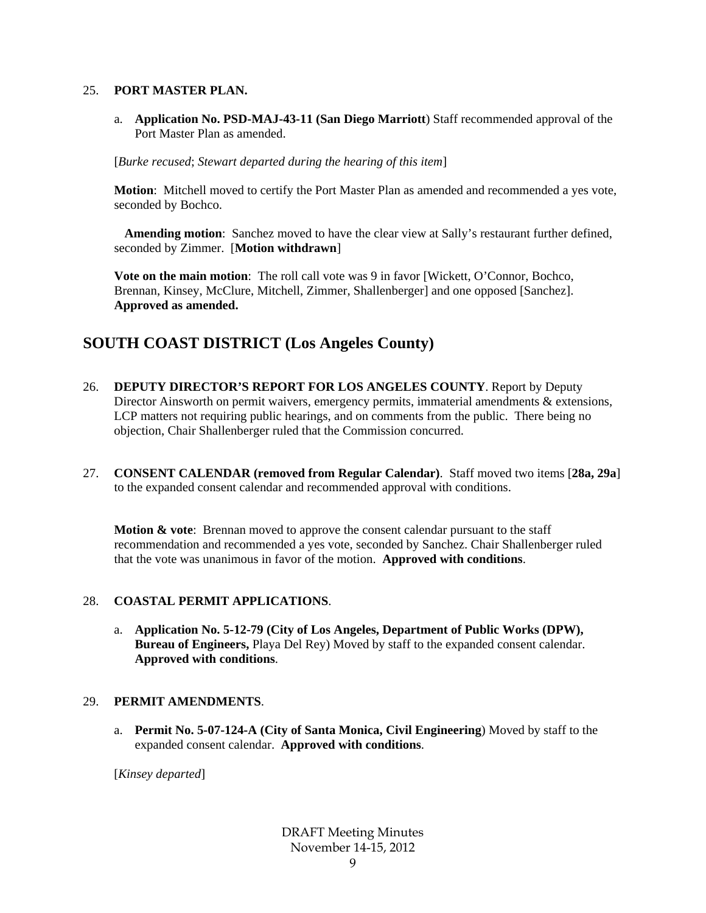#### 25. **PORT MASTER PLAN.**

a. **Application No. PSD-MAJ-43-11 (San Diego Marriott**) Staff recommended approval of the Port Master Plan as amended.

[*Burke recused*; *Stewart departed during the hearing of this item*]

**Motion**: Mitchell moved to certify the Port Master Plan as amended and recommended a yes vote, seconded by Bochco.

**Amending motion**: Sanchez moved to have the clear view at Sally's restaurant further defined, seconded by Zimmer. [**Motion withdrawn**]

**Vote on the main motion:** The roll call vote was 9 in favor [Wickett, O'Connor, Bochco, Brennan, Kinsey, McClure, Mitchell, Zimmer, Shallenberger] and one opposed [Sanchez]. **Approved as amended.** 

## **SOUTH COAST DISTRICT (Los Angeles County)**

- 26. **DEPUTY DIRECTOR'S REPORT FOR LOS ANGELES COUNTY**. Report by Deputy Director Ainsworth on permit waivers, emergency permits, immaterial amendments & extensions, LCP matters not requiring public hearings, and on comments from the public. There being no objection, Chair Shallenberger ruled that the Commission concurred.
- 27. **CONSENT CALENDAR (removed from Regular Calendar)**. Staff moved two items [**28a, 29a**] to the expanded consent calendar and recommended approval with conditions.

**Motion & vote:** Brennan moved to approve the consent calendar pursuant to the staff recommendation and recommended a yes vote, seconded by Sanchez. Chair Shallenberger ruled that the vote was unanimous in favor of the motion. **Approved with conditions**.

### 28. **COASTAL PERMIT APPLICATIONS**.

a. **Application No. 5-12-79 (City of Los Angeles, Department of Public Works (DPW), Bureau of Engineers,** Playa Del Rey) Moved by staff to the expanded consent calendar. **Approved with conditions**.

### 29. **PERMIT AMENDMENTS**.

a. **Permit No. 5-07-124-A (City of Santa Monica, Civil Engineering**) Moved by staff to the expanded consent calendar. **Approved with conditions**.

[*Kinsey departed*]